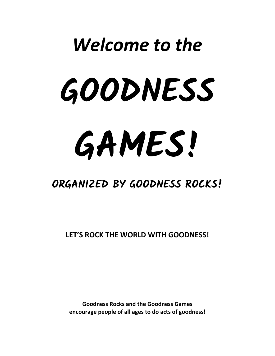# *Welcome to the* **GOODNESS GAMES!**

# **ORGANIZED BY GOODNESS ROCKS!**

**LET'S ROCK THE WORLD WITH GOODNESS!**

**Goodness Rocks and the Goodness Games encourage people of all ages to do acts of goodness!**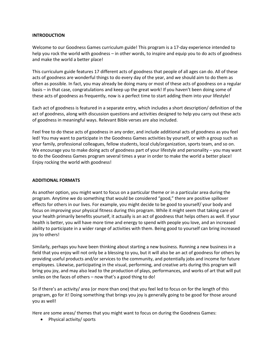### **INTRODUCTION**

Welcome to our Goodness Games curriculum guide! This program is a 17-day experience intended to help you rock the world with goodness – in other words, to inspire and equip you to do acts of goodness and make the world a better place!

This curriculum guide features 17 different acts of goodness that people of all ages can do. All of these acts of goodness are wonderful things to do every day of the year, and we should aim to do them as often as possible. In fact, you may already be doing many or most of these acts of goodness on a regular basis – in that case, congratulations and keep up the great work! If you haven't been doing some of these acts of goodness as frequently, now is a perfect time to start adding them into your lifestyle!

Each act of goodness is featured in a separate entry, which includes a short description/ definition of the act of goodness, along with discussion questions and activities designed to help you carry out these acts of goodness in meaningful ways. Relevant Bible verses are also included.

Feel free to do these acts of goodness in any order, and include additional acts of goodness as you feel led! You may want to participate in the Goodness Games activities by yourself, or with a group such as your family, professional colleagues, fellow students, local club/organization, sports team, and so on. We encourage you to make doing acts of goodness part of your lifestyle and personality – you may want to do the Goodness Games program several times a year in order to make the world a better place! Enjoy rocking the world with goodness!

### **ADDITIONAL FORMATS**

As another option, you might want to focus on a particular theme or in a particular area during the program. Anytime we do something that would be considered "good," there are positive spillover effects for others in our lives. For example, you might decide to be good to yourself/ your body and focus on improving your physical fitness during this program. While it might seem that taking care of your health primarily benefits yourself, it actually is an act of goodness that helps others as well. If your health is better, you will have more time and energy to spend with people you love, and an increased ability to participate in a wider range of activities with them. Being good to yourself can bring increased joy to others!

Similarly, perhaps you have been thinking about starting a new business. Running a new business in a field that you enjoy will not only be a blessing to you, but it will also be an act of goodness for others by providing useful products and/or services to the community, and potentially jobs and income for future employees. Likewise, participating in the visual, performing, and creative arts during this program will bring you joy, and may also lead to the production of plays, performances, and works of art that will put smiles on the faces of others – now that's a good thing to do!

So if there's an activity/ area (or more than one) that you feel led to focus on for the length of this program, go for it! Doing something that brings you joy is generally going to be good for those around you as well!

Here are some areas/ themes that you might want to focus on during the Goodness Games:

• Physical activity/ sports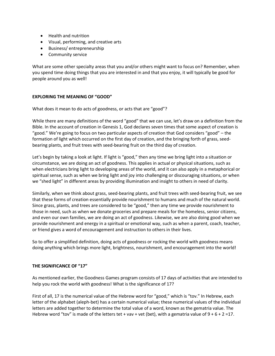- Health and nutrition
- Visual, performing, and creative arts
- Business/entrepreneurship
- **•** Community service

What are some other specialty areas that you and/or others might want to focus on? Remember, when you spend time doing things that you are interested in and that you enjoy, it will typically be good for people around you as well!

### **EXPLORING THE MEANING OF "GOOD"**

What does it mean to do acts of goodness, or acts that are "good"?

While there are many definitions of the word "good" that we can use, let's draw on a definition from the Bible. In the account of creation in Genesis 1, God declares seven times that some aspect of creation is "good." We're going to focus on two particular aspects of creation that God considers "good" – the formation of light which occurred on the first day of creation, and the bringing forth of grass, seedbearing plants, and fruit trees with seed-bearing fruit on the third day of creation.

Let's begin by taking a look at light. If light is "good," then any time we bring light into a situation or circumstance, we are doing an act of goodness. This applies in actual or physical situations, such as when electricians bring light to developing areas of the world, and it can also apply in a metaphorical or spiritual sense, such as when we bring light and joy into challenging or discouraging situations, or when we "shed light" in different areas by providing illumination and insight to others in need of clarity.

Similarly, when we think about grass, seed-bearing plants, and fruit trees with seed-bearing fruit, we see that these forms of creation essentially provide nourishment to humans and much of the natural world. Since grass, plants, and trees are considered to be "good," then any time we provide nourishment to those in need, such as when we donate groceries and prepare meals for the homeless, senior citizens, and even our own families, we are doing an act of goodness. Likewise, we are also doing good when we provide nourishment and energy in a spiritual or emotional way, such as when a parent, coach, teacher, or friend gives a word of encouragement and instruction to others in their lives.

So to offer a simplified definition, doing acts of goodness or rocking the world with goodness means doing anything which brings more light, brightness, nourishment, and encouragement into the world!

### **THE SIGNIFICANCE OF "17"**

As mentioned earlier, the Goodness Games program consists of 17 days of activities that are intended to help you rock the world with goodness! What is the significance of 17?

First of all, 17 is the numerical value of the Hebrew word for "good," which is "tov." In Hebrew, each letter of the alphabet (aleph-bet) has a certain numerical value; these numerical values of the individual letters are added together to determine the total value of a word, known as the gematria value. The Hebrew word "tov" is made of the letters tet + vav + vet (bet), with a gematria value of  $9 + 6 + 2 = 17$ .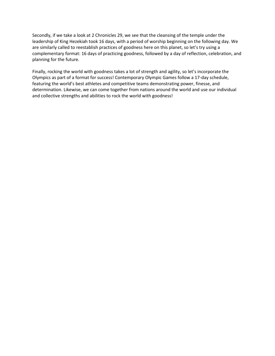Secondly, if we take a look at 2 Chronicles 29, we see that the cleansing of the temple under the leadership of King Hezekiah took 16 days, with a period of worship beginning on the following day. We are similarly called to reestablish practices of goodness here on this planet, so let's try using a complementary format: 16 days of practicing goodness, followed by a day of reflection, celebration, and planning for the future.

Finally, rocking the world with goodness takes a lot of strength and agility, so let's incorporate the Olympics as part of a format for success! Contemporary Olympic Games follow a 17-day schedule, featuring the world's best athletes and competitive teams demonstrating power, finesse, and determination. Likewise, we can come together from nations around the world and use our individual and collective strengths and abilities to rock the world with goodness!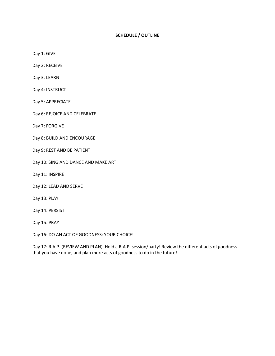### **SCHEDULE / OUTLINE**

Day 1: GIVE

Day 2: RECEIVE

Day 3: LEARN

Day 4: INSTRUCT

Day 5: APPRECIATE

Day 6: REJOICE AND CELEBRATE

Day 7: FORGIVE

Day 8: BUILD AND ENCOURAGE

Day 9: REST AND BE PATIENT

Day 10: SING AND DANCE AND MAKE ART

Day 11: INSPIRE

Day 12: LEAD AND SERVE

Day 13: PLAY

Day 14: PERSIST

Day 15: PRAY

Day 16: DO AN ACT OF GOODNESS: YOUR CHOICE!

Day 17: R.A.P. (REVIEW AND PLAN). Hold a R.A.P. session/party! Review the different acts of goodness that you have done, and plan more acts of goodness to do in the future!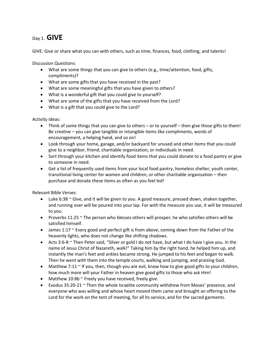### Day 1. **GIVE**

GIVE: Give or share what you can with others, such as time, finances, food, clothing, and talents!

Discussion Questions:

- What are some things that you can give to others (e.g., time/attention, food, gifts, compliments)?
- What are some gifts that you have received in the past?
- What are some meaningful gifts that you have given to others?
- What is a wonderful gift that you could give to yourself?
- What are some of the gifts that you have received from the Lord?
- What is a gift that you could give to the Lord?

Activity Ideas:

- Think of some things that you can give to others or to yourself then give those gifts to them! Be creative – you can give tangible or intangible items like compliments, words of encouragement, a helping hand, and so on!
- Look through your home, garage, and/or backyard for unused and other items that you could give to a neighbor, friend, charitable organization, or individuals in need.
- Sort through your kitchen and identify food items that you could donate to a food pantry or give to someone in need.
- Get a list of frequently used items from your local food pantry, homeless shelter, youth center, transitional living center for women and children, or other charitable organization – then purchase and donate these items as often as you feel led!

- $\bullet$  Luke 6:38  $\sim$  Give, and it will be given to you. A good measure, pressed down, shaken together, and running over will be poured into your lap. For with the measure you use, it will be measured to you.
- Proverbs 11:25  $\sim$  The person who blesses others will prosper; he who satisfies others will be satisfied himself.
- James 1:17 ~ Every good and perfect gift is from above, coming down from the Father of the heavenly lights, who does not change like shifting shadows.
- Acts 3:6-8 ~ Then Peter said, "Silver or gold I do not have, but what I do have I give you. In the name of Jesus Christ of Nazareth, walk!" Taking him by the right hand, he helped him up, and instantly the man's feet and ankles became strong. He jumped to his feet and began to walk. Then he went with them into the temple courts, walking and jumping, and praising God.
- Matthew 7:11  $\sim$  If you, then, though you are evil, know how to give good gifts to your children, how much more will your Father in heaven give good gifts to those who ask Him!
- Matthew  $10:8b \sim$  Freely you have received, freely give.
- Exodus  $35:20-21$   $\sim$  Then the whole Israelite community withdrew from Moses' presence, and everyone who was willing and whose heart moved them came and brought an offering to the Lord for the work on the tent of meeting, for all its service, and for the sacred garments.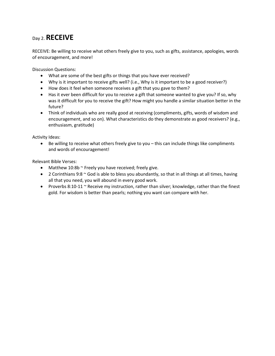### Day 2. **RECEIVE**

RECEIVE: Be willing to receive what others freely give to you, such as gifts, assistance, apologies, words of encouragement, and more!

Discussion Questions:

- What are some of the best gifts or things that you have ever received?
- Why is it important to receive gifts well? (i.e., Why is it important to be a good receiver?)
- How does it feel when someone receives a gift that you gave to them?
- Has it ever been difficult for you to receive a gift that someone wanted to give you? If so, why was it difficult for you to receive the gift? How might you handle a similar situation better in the future?
- Think of individuals who are really good at receiving (compliments, gifts, words of wisdom and encouragement, and so on). What characteristics do they demonstrate as good receivers? (e.g., enthusiasm, gratitude)

Activity Ideas:

 Be willing to receive what others freely give to you – this can include things like compliments and words of encouragement!

- Matthew  $10:8b \sim$  Freely you have received; freely give.
- 2 Corinthians 9:8  $\sim$  God is able to bless you abundantly, so that in all things at all times, having all that you need, you will abound in every good work.
- Proverbs 8:10-11  $\sim$  Receive my instruction, rather than silver; knowledge, rather than the finest gold. For wisdom is better than pearls; nothing you want can compare with her.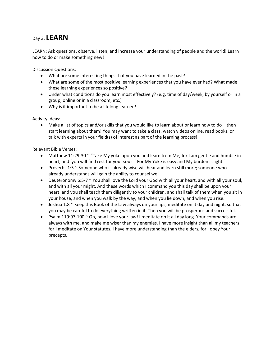### Day 3. **LEARN**

LEARN: Ask questions, observe, listen, and increase your understanding of people and the world! Learn how to do or make something new!

Discussion Questions:

- What are some interesting things that you have learned in the past?
- What are some of the most positive learning experiences that you have ever had? What made these learning experiences so positive?
- Under what conditions do you learn most effectively? (e.g. time of day/week, by yourself or in a group, online or in a classroom, etc.)
- Why is it important to be a lifelong learner?

Activity Ideas:

 Make a list of topics and/or skills that you would like to learn about or learn how to do – then start learning about them! You may want to take a class, watch videos online, read books, or talk with experts in your field(s) of interest as part of the learning process!

- Matthew 11:29-30  $\sim$  "Take My yoke upon you and learn from Me, for I am gentle and humble in heart, and 'you will find rest for your souls.' For My Yoke is easy and My burden is light."
- Proverbs 1:5  $\sim$  Someone who is already wise will hear and learn still more; someone who already understands will gain the ability to counsel well.
- Deuteronomy 6:5-7  $\sim$  You shall love the Lord your God with all your heart, and with all your soul, and with all your might. And these words which I command you this day shall be upon your heart, and you shall teach them diligently to your children, and shall talk of them when you sit in your house, and when you walk by the way, and when you lie down, and when you rise.
- Joshua 1:8  $\sim$  Keep this Book of the Law always on your lips; meditate on it day and night, so that you may be careful to do everything written in it. Then you will be prosperous and successful.
- Psalm 119:97-100  $\sim$  Oh, how I love your law! I meditate on it all day long. Your commands are always with me, and make me wiser than my enemies. I have more insight than all my teachers, for I meditate on Your statutes. I have more understanding than the elders, for I obey Your precepts.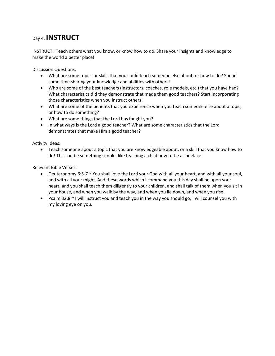### Day 4. **INSTRUCT**

INSTRUCT: Teach others what you know, or know how to do. Share your insights and knowledge to make the world a better place!

Discussion Questions:

- What are some topics or skills that you could teach someone else about, or how to do? Spend some time sharing your knowledge and abilities with others!
- Who are some of the best teachers (instructors, coaches, role models, etc.) that you have had? What characteristics did they demonstrate that made them good teachers? Start incorporating those characteristics when you instruct others!
- What are some of the benefits that you experience when you teach someone else about a topic, or how to do something?
- What are some things that the Lord has taught you?
- In what ways is the Lord a good teacher? What are some characteristics that the Lord demonstrates that make Him a good teacher?

Activity Ideas:

 Teach someone about a topic that you are knowledgeable about, or a skill that you know how to do! This can be something simple, like teaching a child how to tie a shoelace!

- **•** Deuteronomy 6:5-7  $\sim$  You shall love the Lord your God with all your heart, and with all your soul, and with all your might. And these words which I command you this day shall be upon your heart, and you shall teach them diligently to your children, and shall talk of them when you sit in your house, and when you walk by the way, and when you lie down, and when you rise.
- Psalm 32:8 ~ I will instruct you and teach you in the way you should go; I will counsel you with my loving eye on you.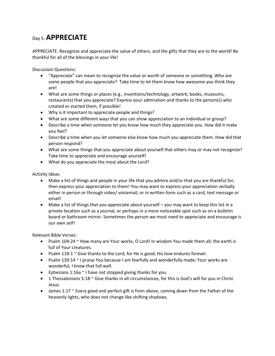### Day 5. **APPRECIATE**

APPRECIATE: Recognize and appreciate the value of others, and the gifts that they are to the world! Be thankful for all of the blessings in your life!

Discussion Questions:

- "Appreciate" can mean to recognize the value or worth of someone or something. Who are some people that you appreciate? Take time to let them know how awesome you think they are!
- What are some things or places (e.g., inventions/technology, artwork, books, museums, restaurants) that you appreciate? Express your admiration and thanks to the person(s) who created or started them, if possible!
- Why is it important to appreciate people and things?
- What are some different ways that you can show appreciation to an individual or group?
- Describe a time when someone let you know how much they appreciate you. How did it make you feel?
- Describe a time when you let someone else know how much you appreciate them. How did that person respond?
- What are some things that you appreciate about yourself that others may or may not recognize? Take time to appreciate and encourage yourself!
- What do you appreciate the most about the Lord?

Activity Ideas:

- Make a list of things and people in your life that you admire and/or that you are thankful for, then express your appreciation to them! You may want to express your appreciation verbally either in person or through video/ voicemail, or in written form such as a card, text message or email!
- Make a list of things that you appreciate about yourself you may want to keep this list in a private location such as a journal, or perhaps in a more noticeable spot such as on a bulletin board or bathroom mirror. Sometimes the person we most need to appreciate and encourage is our own self!

- Psalm  $104:24$   $\sim$  How many are Your works, O Lord! In wisdom You made them all; the earth is full of Your creatures.
- **•** Psalm 118:1  $\sim$  Give thanks to the Lord, for He is good; His love endures forever.
- Psalm 139:14  $\sim$  I praise You because I am fearfully and wonderfully made; Your works are wonderful, I know that full well.
- **•** Ephesians 1:16a  $\sim$  I have not stopped giving thanks for you.
- **•** 1 Thessalonians 5:18  $\sim$  Give thanks in all circumstances, for this is God's will for you in Christ Jesus.
- James 1:17 ~ Every good and perfect gift is from above, coming down from the Father of the heavenly lights, who does not change like shifting shadows.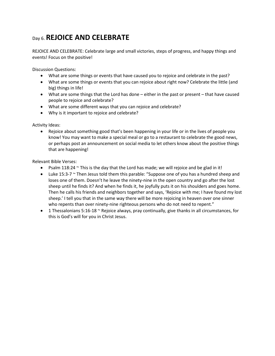# Day 6. **REJOICE AND CELEBRATE**

REJOICE AND CELEBRATE: Celebrate large and small victories, steps of progress, and happy things and events! Focus on the positive!

Discussion Questions:

- What are some things or events that have caused you to rejoice and celebrate in the past?
- What are some things or events that you can rejoice about right now? Celebrate the little (and big) things in life!
- What are some things that the Lord has done either in the past or present that have caused people to rejoice and celebrate?
- What are some different ways that you can rejoice and celebrate?
- Why is it important to rejoice and celebrate?

Activity Ideas:

 Rejoice about something good that's been happening in your life or in the lives of people you know! You may want to make a special meal or go to a restaurant to celebrate the good news, or perhaps post an announcement on social media to let others know about the positive things that are happening!

- Psalm 118:24  $\sim$  This is the day that the Lord has made; we will rejoice and be glad in it!
- $\bullet$  Luke 15:3-7  $\sim$  Then Jesus told them this parable: "Suppose one of you has a hundred sheep and loses one of them. Doesn't he leave the ninety-nine in the open country and go after the lost sheep until he finds it? And when he finds it, he joyfully puts it on his shoulders and goes home. Then he calls his friends and neighbors together and says, 'Rejoice with me; I have found my lost sheep.' I tell you that in the same way there will be more rejoicing in heaven over one sinner who repents than over ninety-nine righteous persons who do not need to repent."
- **1** Thessalonians 5:16-18  $\sim$  Rejoice always, pray continually, give thanks in all circumstances, for this is God's will for you in Christ Jesus.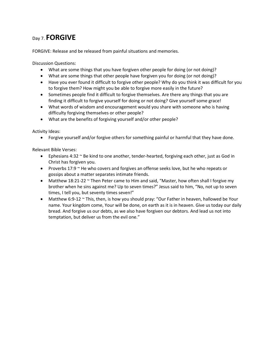### Day 7. **FORGIVE**

FORGIVE: Release and be released from painful situations and memories.

Discussion Questions:

- What are some things that you have forgiven other people for doing (or not doing)?
- What are some things that other people have forgiven you for doing (or not doing)?
- Have you ever found it difficult to forgive other people? Why do you think it was difficult for you to forgive them? How might you be able to forgive more easily in the future?
- Sometimes people find it difficult to forgive themselves. Are there any things that you are finding it difficult to forgive yourself for doing or not doing? Give yourself some grace!
- What words of wisdom and encouragement would you share with someone who is having difficulty forgiving themselves or other people?
- What are the benefits of forgiving yourself and/or other people?

Activity Ideas:

Forgive yourself and/or forgive others for something painful or harmful that they have done.

- **•** Ephesians 4:32  $\sim$  Be kind to one another, tender-hearted, forgiving each other, just as God in Christ has forgiven you.
- Proverbs 17:9  $\sim$  He who covers and forgives an offense seeks love, but he who repeats or gossips about a matter separates intimate friends.
- Matthew 18:21-22  $\sim$  Then Peter came to Him and said, "Master, how often shall I forgive my brother when he sins against me? Up to seven times?" Jesus said to him, "No, not up to seven times, I tell you, but seventy times seven!"
- Matthew 6:9-12 ~ This, then, is how you should pray: "Our Father in heaven, hallowed be Your name. Your kingdom come, Your will be done, on earth as it is in heaven. Give us today our daily bread. And forgive us our debts, as we also have forgiven our debtors. And lead us not into temptation, but deliver us from the evil one."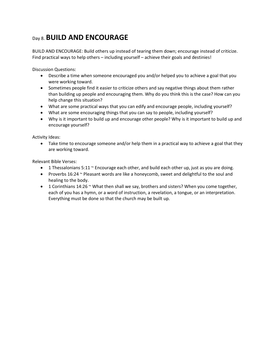# Day 8. **BUILD AND ENCOURAGE**

BUILD AND ENCOURAGE: Build others up instead of tearing them down; encourage instead of criticize. Find practical ways to help others – including yourself – achieve their goals and destinies!

Discussion Questions:

- Describe a time when someone encouraged you and/or helped you to achieve a goal that you were working toward.
- Sometimes people find it easier to criticize others and say negative things about them rather than building up people and encouraging them. Why do you think this is the case? How can you help change this situation?
- What are some practical ways that you can edify and encourage people, including yourself?
- What are some encouraging things that you can say to people, including yourself?
- Why is it important to build up and encourage other people? Why is it important to build up and encourage yourself?

Activity Ideas:

• Take time to encourage someone and/or help them in a practical way to achieve a goal that they are working toward.

- **1** Thessalonians 5:11  $\sim$  Encourage each other, and build each other up, just as you are doing.
- Proverbs 16:24 ~ Pleasant words are like a honeycomb, sweet and delightful to the soul and healing to the body.
- 1 Corinthians 14:26  $\sim$  What then shall we say, brothers and sisters? When you come together, each of you has a hymn, or a word of instruction, a revelation, a tongue, or an interpretation. Everything must be done so that the church may be built up.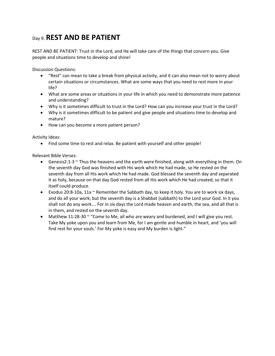## Day 9. **REST AND BE PATIENT**

REST AND BE PATIENT: Trust in the Lord, and He will take care of the things that concern you. Give people and situations time to develop and shine!

Discussion Questions:

- "Rest" can mean to take a break from physical activity, and it can also mean not to worry about certain situations or circumstances. What are some ways that you need to rest more in your life?
- What are some areas or situations in your life in which you need to demonstrate more patience and understanding?
- Why is it sometimes difficult to trust in the Lord? How can you increase your trust in the Lord?
- Why is it sometimes difficult to be patient and give people and situations time to develop and mature?
- How can you become a more patient person?

Activity Ideas:

• Find some time to rest and relax. Be patient with yourself and other people!

- Genesis2:1-3 ~ Thus the heavens and the earth were finished, along with everything in them. On the seventh day God was finished with His work which He had made, so He rested on the seventh day from all His work which He had made. God blessed the seventh day and separated it as holy, because on that day God rested from all His work which He had created, so that it itself could produce.
- Exodus 20:8-10a, 11a  $\sim$  Remember the Sabbath day, to keep it holy. You are to work six days, and do all your work; but the seventh day is a Shabbat (sabbath) to the Lord your God. In it you shall not do any work…. For in six days the Lord made heaven and earth, the sea, and all that is in them, and rested on the seventh day.
- Matthew 11:28-30  $\sim$  "Come to Me, all who are weary and burdened, and I will give you rest. Take My yoke upon you and learn from Me, for I am gentle and humble in heart, and 'you will find rest for your souls.' For My yoke is easy and My burden is light."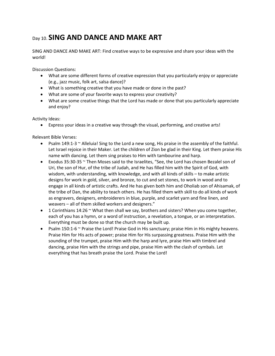# Day 10. **SING AND DANCE AND MAKE ART**

SING AND DANCE AND MAKE ART: Find creative ways to be expressive and share your ideas with the world!

Discussion Questions:

- What are some different forms of creative expression that you particularly enjoy or appreciate (e.g., jazz music, folk art, salsa dance)?
- What is something creative that you have made or done in the past?
- What are some of your favorite ways to express your creativity?
- What are some creative things that the Lord has made or done that you particularly appreciate and enjoy?

Activity Ideas:

Express your ideas in a creative way through the visual, performing, and creative arts!

- Psalm 149:1-3  $\sim$  Alleluia! Sing to the Lord a new song, His praise in the assembly of the faithful. Let Israel rejoice in their Maker. Let the children of Zion be glad in their King. Let them praise His name with dancing. Let them sing praises to Him with tambourine and harp.
- Exodus 35:30-35 ~ Then Moses said to the Israelites, "See, the Lord has chosen Bezalel son of Uri, the son of Hur, of the tribe of Judah, and He has filled him with the Spirit of God, with wisdom, with understanding, with knowledge, and with all kinds of skills – to make artistic designs for work in gold, silver, and bronze, to cut and set stones, to work in wood and to engage in all kinds of artistic crafts. And He has given both him and Oholiab son of Ahisamak, of the tribe of Dan, the ability to teach others. He has filled them with skill to do all kinds of work as engravers, designers, embroiderers in blue, purple, and scarlet yarn and fine linen, and weavers – all of them skilled workers and designers."
- 1 Corinthians 14:26  $\sim$  What then shall we say, brothers and sisters? When you come together, each of you has a hymn, or a word of instruction, a revelation, a tongue, or an interpretation. Everything must be done so that the church may be built up.
- Psalm 150:1-6  $\sim$  Praise the Lord! Praise God in His sanctuary; praise Him in His mighty heavens. Praise Him for His acts of power; praise Him for His surpassing greatness. Praise Him with the sounding of the trumpet, praise Him with the harp and lyre, praise Him with timbrel and dancing, praise Him with the strings and pipe, praise Him with the clash of cymbals. Let everything that has breath praise the Lord. Praise the Lord!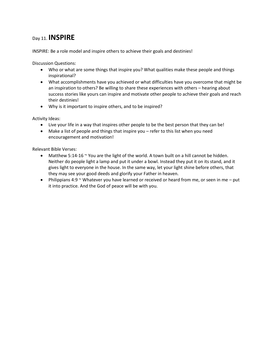### Day 11. **INSPIRE**

INSPIRE: Be a role model and inspire others to achieve their goals and destinies!

Discussion Questions:

- Who or what are some things that inspire you? What qualities make these people and things inspirational?
- What accomplishments have you achieved or what difficulties have you overcome that might be an inspiration to others? Be willing to share these experiences with others – hearing about success stories like yours can inspire and motivate other people to achieve their goals and reach their destinies!
- Why is it important to inspire others, and to be inspired?

Activity Ideas:

- Live your life in a way that inspires other people to be the best person that they can be!
- Make a list of people and things that inspire you refer to this list when you need encouragement and motivation!

- Matthew 5:14-16  $\sim$  You are the light of the world. A town built on a hill cannot be hidden. Neither do people light a lamp and put it under a bowl. Instead they put it on its stand, and it gives light to everyone in the house. In the same way, let your light shine before others, that they may see your good deeds and glorify your Father in heaven.
- Philippians 4:9  $\sim$  Whatever you have learned or received or heard from me, or seen in me put it into practice. And the God of peace will be with you.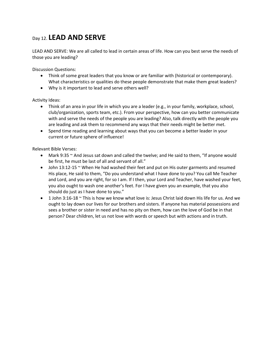### Day 12. **LEAD AND SERVE**

LEAD AND SERVE: We are all called to lead in certain areas of life. How can you best serve the needs of those you are leading?

Discussion Questions:

- Think of some great leaders that you know or are familiar with (historical or contemporary). What characteristics or qualities do these people demonstrate that make them great leaders?
- Why is it important to lead and serve others well?

Activity Ideas:

- Think of an area in your life in which you are a leader (e.g., in your family, workplace, school, club/organization, sports team, etc.). From your perspective, how can you better communicate with and serve the needs of the people you are leading? Also, talk directly with the people you are leading and ask them to recommend any ways that their needs might be better met.
- Spend time reading and learning about ways that you can become a better leader in your current or future sphere of influence!

- Mark 9:35 ~ And Jesus sat down and called the twelve; and He said to them, "If anyone would be first, he must be last of all and servant of all."
- $\bullet$  John 13:12-15  $\sim$  When He had washed their feet and put on His outer garments and resumed His place, He said to them, "Do you understand what I have done to you? You call Me Teacher and Lord, and you are right, for so I am. If I then, your Lord and Teacher, have washed your feet, you also ought to wash one another's feet. For I have given you an example, that you also should do just as I have done to you."
- 1 John 3:16-18 ~ This is how we know what love is: Jesus Christ laid down His life for us. And we ought to lay down our lives for our brothers and sisters. If anyone has material possessions and sees a brother or sister in need and has no pity on them, how can the love of God be in that person? Dear children, let us not love with words or speech but with actions and in truth.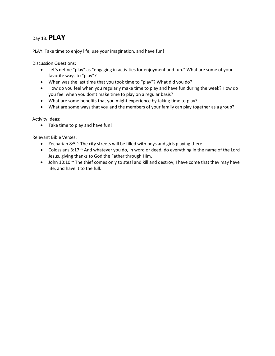### Day 13. **PLAY**

PLAY: Take time to enjoy life, use your imagination, and have fun!

Discussion Questions:

- Let's define "play" as "engaging in activities for enjoyment and fun." What are some of your favorite ways to "play"?
- When was the last time that you took time to "play"? What did you do?
- How do you feel when you regularly make time to play and have fun during the week? How do you feel when you don't make time to play on a regular basis?
- What are some benefits that you might experience by taking time to play?
- What are some ways that you and the members of your family can play together as a group?

Activity Ideas:

Take time to play and have fun!

- Exechariah 8:5  $\sim$  The city streets will be filled with boys and girls playing there.
- Colossians 3:17 ~ And whatever you do, in word or deed, do everything in the name of the Lord Jesus, giving thanks to God the Father through Him.
- $\bullet$  John 10:10  $\sim$  The thief comes only to steal and kill and destroy; I have come that they may have life, and have it to the full.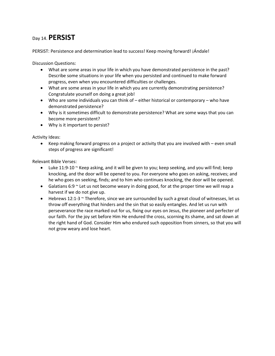### Day 14. **PERSIST**

PERSIST: Persistence and determination lead to success! Keep moving forward! ¡Ándale!

Discussion Questions:

- What are some areas in your life in which you have demonstrated persistence in the past? Describe some situations in your life when you persisted and continued to make forward progress, even when you encountered difficulties or challenges.
- What are some areas in your life in which you are currently demonstrating persistence? Congratulate yourself on doing a great job!
- Who are some individuals you can think of either historical or contemporary who have demonstrated persistence?
- Why is it sometimes difficult to demonstrate persistence? What are some ways that you can become more persistent?
- Why is it important to persist?

Activity Ideas:

 Keep making forward progress on a project or activity that you are involved with – even small steps of progress are significant!

- Luke 11:9-10 ~ Keep asking, and it will be given to you; keep seeking, and you will find; keep knocking, and the door will be opened to you. For everyone who goes on asking, receives; and he who goes on seeking, finds; and to him who continues knocking, the door will be opened.
- Galatians 6:9  $\sim$  Let us not become weary in doing good, for at the proper time we will reap a harvest if we do not give up.
- $\bullet$  Hebrews 12:1-3  $\sim$  Therefore, since we are surrounded by such a great cloud of witnesses, let us throw off everything that hinders and the sin that so easily entangles. And let us run with perseverance the race marked out for us, fixing our eyes on Jesus, the pioneer and perfecter of our faith. For the joy set before Him He endured the cross, scorning its shame, and sat down at the right hand of God. Consider Him who endured such opposition from sinners, so that you will not grow weary and lose heart.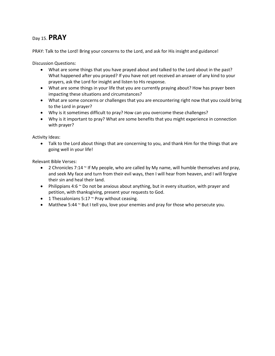### Day 15. **PRAY**

PRAY: Talk to the Lord! Bring your concerns to the Lord, and ask for His insight and guidance!

Discussion Questions:

- What are some things that you have prayed about and talked to the Lord about in the past? What happened after you prayed? If you have not yet received an answer of any kind to your prayers, ask the Lord for insight and listen to His response.
- What are some things in your life that you are currently praying about? How has prayer been impacting these situations and circumstances?
- What are some concerns or challenges that you are encountering right now that you could bring to the Lord in prayer?
- Why is it sometimes difficult to pray? How can you overcome these challenges?
- Why is it important to pray? What are some benefits that you might experience in connection with prayer?

Activity Ideas:

• Talk to the Lord about things that are concerning to you, and thank Him for the things that are going well in your life!

- 2 Chronicles 7:14  $\sim$  If My people, who are called by My name, will humble themselves and pray, and seek My face and turn from their evil ways, then I will hear from heaven, and I will forgive their sin and heal their land.
- Philippians 4:6  $\sim$  Do not be anxious about anything, but in every situation, with prayer and petition, with thanksgiving, present your requests to God.
- 1 Thessalonians  $5:17$   $\sim$  Pray without ceasing.
- $\bullet$  Matthew 5:44  $\sim$  But I tell you, love your enemies and pray for those who persecute you.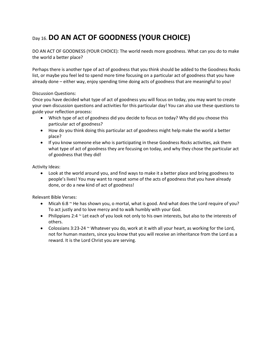# Day 16. **DO AN ACT OF GOODNESS (YOUR CHOICE)**

DO AN ACT OF GOODNESS (YOUR CHOICE): The world needs more goodness. What can you do to make the world a better place?

Perhaps there is another type of act of goodness that you think should be added to the Goodness Rocks list, or maybe you feel led to spend more time focusing on a particular act of goodness that you have already done – either way, enjoy spending time doing acts of goodness that are meaningful to you!

### Discussion Questions:

Once you have decided what type of act of goodness you will focus on today, you may want to create your own discussion questions and activities for this particular day! You can also use these questions to guide your reflection process:

- Which type of act of goodness did you decide to focus on today? Why did you choose this particular act of goodness?
- How do you think doing this particular act of goodness might help make the world a better place?
- If you know someone else who is participating in these Goodness Rocks activities, ask them what type of act of goodness they are focusing on today, and why they chose the particular act of goodness that they did!

Activity Ideas:

 Look at the world around you, and find ways to make it a better place and bring goodness to people's lives! You may want to repeat some of the acts of goodness that you have already done, or do a new kind of act of goodness!

- $\bullet$  Micah 6:8  $\sim$  He has shown you, o mortal, what is good. And what does the Lord require of you? To act justly and to love mercy and to walk humbly with your God.
- Philippians 2:4  $\sim$  Let each of you look not only to his own interests, but also to the interests of others.
- Colossians 3:23-24  $\sim$  Whatever you do, work at it with all your heart, as working for the Lord, not for human masters, since you know that you will receive an inheritance from the Lord as a reward. It is the Lord Christ you are serving.